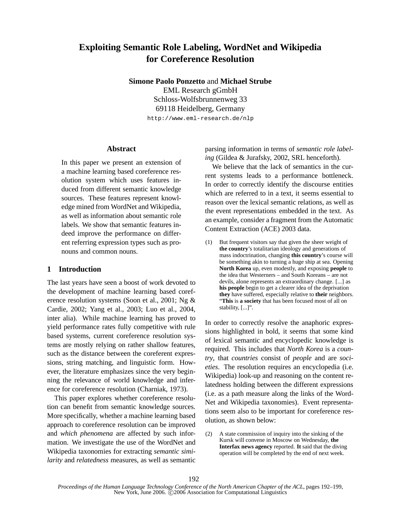# **Exploiting Semantic Role Labeling, WordNet and Wikipedia for Coreference Resolution**

**Simone Paolo Ponzetto** and **Michael Strube**

EML Research gGmbH Schloss-Wolfsbrunnenweg 33 69118 Heidelberg, Germany

http://www.eml-research.de/nlp

# **Abstract**

In this paper we present an extension of a machine learning based coreference resolution system which uses features induced from different semantic knowledge sources. These features represent knowledge mined from WordNet and Wikipedia, as well as information about semantic role labels. We show that semantic features indeed improve the performance on different referring expression types such as pronouns and common nouns.

# **1 Introduction**

The last years have seen a boost of work devoted to the development of machine learning based coreference resolution systems (Soon et al., 2001; Ng & Cardie, 2002; Yang et al., 2003; Luo et al., 2004, inter alia). While machine learning has proved to yield performance rates fully competitive with rule based systems, current coreference resolution systems are mostly relying on rather shallow features, such as the distance between the coreferent expressions, string matching, and linguistic form. However, the literature emphasizes since the very beginning the relevance of world knowledge and inference for coreference resolution (Charniak, 1973).

This paper explores whether coreference resolution can benefit from semantic knowledge sources. More specifically, whether a machine learning based approach to coreference resolution can be improved and *which phenomena* are affected by such information. We investigate the use of the WordNet and Wikipedia taxonomies for extracting *semantic similarity* and *relatedness* measures, as well as semantic parsing information in terms of *semantic role labeling* (Gildea & Jurafsky, 2002, SRL henceforth).

We believe that the lack of semantics in the current systems leads to a performance bottleneck. In order to correctly identify the discourse entities which are referred to in a text, it seems essential to reason over the lexical semantic relations, as well as the event representations embedded in the text. As an example, consider a fragment from the Automatic Content Extraction (ACE) 2003 data.

(1) But frequent visitors say that given the sheer weight of **the country**'s totalitarian ideology and generations of mass indoctrination, changing **this country**'s course will be something akin to turning a huge ship at sea. Opening **North Korea** up, even modestly, and exposing **people** to the idea that Westerners – and South Koreans – are not devils, alone represents an extraordinary change. [...] as **his people** begin to get a clearer idea of the deprivation **they** have suffered, especially relative to **their** neighbors. "**This** is **a society** that has been focused most of all on stability, [...]".

In order to correctly resolve the anaphoric expressions highlighted in bold, it seems that some kind of lexical semantic and encyclopedic knowledge is required. This includes that *North Korea* is a *country*, that *countries* consist of *people* and are *societies*. The resolution requires an encyclopedia (i.e. Wikipedia) look-up and reasoning on the content relatedness holding between the different expressions (i.e. as a path measure along the links of the Word-Net and Wikipedia taxonomies). Event representations seem also to be important for coreference resolution, as shown below:

(2) A state commission of inquiry into the sinking of the Kursk will convene in Moscow on Wednesday, **the Interfax news agency** reported. **It** said that the diving operation will be completed by the end of next week.

*Proceedings of the Human Language Technology Conference of the North American Chapter of the ACL*, pages 192–199, New York, June 2006. C 2006 Association for Computational Linguistics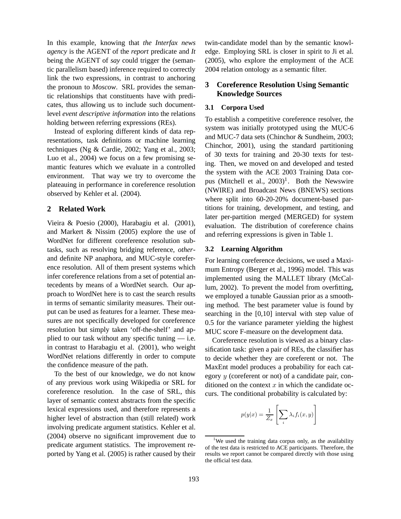In this example, knowing that *the Interfax news agency* is the AGENT of the *report* predicate and *It* being the AGENT of *say* could trigger the (semantic parallelism based) inference required to correctly link the two expressions, in contrast to anchoring the pronoun to *Moscow*. SRL provides the semantic relationships that constituents have with predicates, thus allowing us to include such documentlevel *event descriptive information* into the relations holding between referring expressions (REs).

Instead of exploring different kinds of data representations, task definitions or machine learning techniques (Ng & Cardie, 2002; Yang et al., 2003; Luo et al., 2004) we focus on a few promising semantic features which we evaluate in a controlled environment. That way we try to overcome the plateauing in performance in coreference resolution observed by Kehler et al. (2004).

# **2 Related Work**

Vieira & Poesio (2000), Harabagiu et al. (2001), and Markert & Nissim (2005) explore the use of WordNet for different coreference resolution subtasks, such as resolving bridging reference, *other*and definite NP anaphora, and MUC-style coreference resolution. All of them present systems which infer coreference relations from a set of potential antecedents by means of a WordNet search. Our approach to WordNet here is to cast the search results in terms of semantic similarity measures. Their output can be used as features for a learner. These measures are not specifically developed for coreference resolution but simply taken 'off-the-shelf' and applied to our task without any specific tuning  $-$  i.e. in contrast to Harabagiu et al. (2001), who weight WordNet relations differently in order to compute the confidence measure of the path.

To the best of our knowledge, we do not know of any previous work using Wikipedia or SRL for coreference resolution. In the case of SRL, this layer of semantic context abstracts from the specific lexical expressions used, and therefore represents a higher level of abstraction than (still related) work involving predicate argument statistics. Kehler et al. (2004) observe no significant improvement due to predicate argument statistics. The improvement reported by Yang et al. (2005) is rather caused by their twin-candidate model than by the semantic knowledge. Employing SRL is closer in spirit to Ji et al. (2005), who explore the employment of the ACE 2004 relation ontology as a semantic filter.

# **3 Coreference Resolution Using Semantic Knowledge Sources**

# **3.1 Corpora Used**

To establish a competitive coreference resolver, the system was initially prototyped using the MUC-6 and MUC-7 data sets (Chinchor & Sundheim, 2003; Chinchor, 2001), using the standard partitioning of 30 texts for training and 20-30 texts for testing. Then, we moved on and developed and tested the system with the ACE 2003 Training Data corpus (Mitchell et al.,  $2003)^1$ . Both the Newswire (NWIRE) and Broadcast News (BNEWS) sections where split into 60-20-20% document-based partitions for training, development, and testing, and later per-partition merged (MERGED) for system evaluation. The distribution of coreference chains and referring expressions is given in Table 1.

# **3.2 Learning Algorithm**

For learning coreference decisions, we used a Maximum Entropy (Berger et al., 1996) model. This was implemented using the MALLET library (McCallum, 2002). To prevent the model from overfitting, we employed a tunable Gaussian prior as a smoothing method. The best parameter value is found by searching in the [0,10] interval with step value of 0.5 for the variance parameter yielding the highest MUC score F-measure on the development data.

Coreference resolution is viewed as a binary classification task: given a pair of REs, the classifier has to decide whether they are coreferent or not. The MaxEnt model produces a probability for each category y (coreferent or not) of a candidate pair, conditioned on the context  $x$  in which the candidate occurs. The conditional probability is calculated by:

$$
p(y|x) = \frac{1}{Z_x} \left[ \sum_i \lambda_i f_i(x, y) \right]
$$

<sup>&</sup>lt;sup>1</sup>We used the training data corpus only, as the availability of the test data is restricted to ACE participants. Therefore, the results we report cannot be compared directly with those using the official test data.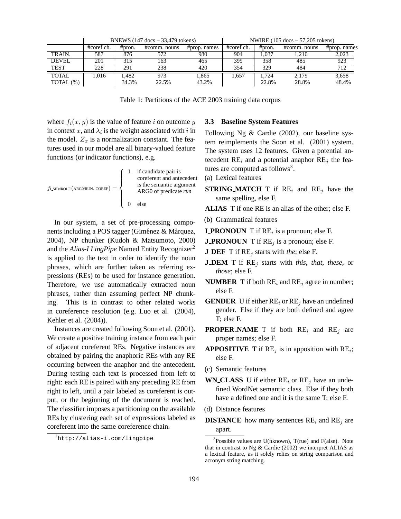|              |            | BNEWS $(147 \text{ docs} - 33,479 \text{ tokens})$ |              | NWIRE $(105 \text{ docs} - 57,205 \text{ tokens})$ |            |           |              |              |
|--------------|------------|----------------------------------------------------|--------------|----------------------------------------------------|------------|-----------|--------------|--------------|
|              | #coref ch. | $#$ pron.                                          | #comm. nouns | #prop. names                                       | #coref ch. | $#$ pron. | #comm. nouns | #prop. names |
| TRAIN.       | 587        | 876                                                | 572          | 980                                                | 904        | .037      | 1.210        | 2.023        |
| <b>DEVEL</b> | 201        | 315                                                | 163          | 465                                                | 399        | 358       | 485          | 923          |
| <b>TEST</b>  | 228        | 291                                                | 238          | 420                                                | 354        | 329       | 484          | 712          |
| <b>TOTAL</b> | .016       | .482                                               | 973          | .865                                               | .657       | .724      | 2.179        | 3,658        |
| TOTAL (%)    |            | 34.3%                                              | 22.5%        | 43.2%                                              |            | 22.8%     | 28.8%        | 48.4%        |

Table 1: Partitions of the ACE 2003 training data corpus

where  $f_i(x, y)$  is the value of feature i on outcome y in context x, and  $\lambda_i$  is the weight associated with i in the model.  $Z_x$  is a normalization constant. The features used in our model are all binary-valued feature functions (or indicator functions), e.g.

$$
f_{\text{LSEMROLE}}(\text{ARGORUN}, \text{COREF}) = \left\{ \begin{array}{c} 1 & \text{if candidate pair is} \\ \text{coreferent and antecedent} \\ \text{is the semantic argument} \\ \text{ARG0 of predicate } run \\ 0 & \text{else} \end{array} \right.
$$

In our system, a set of pre-processing components including a POS tagger (Giménez & Màrquez, 2004), NP chunker (Kudoh & Matsumoto, 2000) and the *Alias-I LingPipe* Named Entity Recognizer<sup>2</sup> is applied to the text in order to identify the noun phrases, which are further taken as referring expressions (REs) to be used for instance generation. Therefore, we use automatically extracted noun phrases, rather than assuming perfect NP chunking. This is in contrast to other related works in coreference resolution (e.g. Luo et al. (2004), Kehler et al. (2004)).

Instances are created following Soon et al. (2001). We create a positive training instance from each pair of adjacent coreferent REs. Negative instances are obtained by pairing the anaphoric REs with any RE occurring between the anaphor and the antecedent. During testing each text is processed from left to right: each RE is paired with any preceding RE from right to left, until a pair labeled as coreferent is output, or the beginning of the document is reached. The classifier imposes a partitioning on the available REs by clustering each set of expressions labeled as coreferent into the same coreference chain.

# **3.3 Baseline System Features**

Following Ng & Cardie (2002), our baseline system reimplements the Soon et al. (2001) system. The system uses 12 features. Given a potential antecedent  $RE_i$  and a potential anaphor  $RE_i$  the features are computed as follows<sup>3</sup>.

- (a) Lexical features
	- **STRING\_MATCH** T if  $RE_i$  and  $RE_j$  have the same spelling, else F.
	- **ALIAS** T if one RE is an alias of the other; else F.
	- (b) Grammatical features
	- **I\_PRONOUN** T if  $RE_i$  is a pronoun; else F.
	- **J\_PRONOUN** T if  $RE<sub>j</sub>$  is a pronoun; else F.
	- **J\_DEF** T if  $RE<sub>j</sub>$  starts with *the*; else F.
	- **J\_DEM** T if  $RE_j$  starts with *this, that, these,* or *those*; else F.
	- **NUMBER** T if both  $RE_i$  and  $RE_j$  agree in number; else F.
	- **GENDER** U if either  $RE_i$  or  $RE_j$  have an undefined gender. Else if they are both defined and agree T; else F.
	- **PROPER NAME** T if both  $RE_i$  and  $RE_j$  are proper names; else F.
	- **APPOSITIVE** T if  $RE_j$  is in apposition with  $RE_i$ ; else F.
	- (c) Semantic features
	- **WN\_CLASS** U if either  $RE_i$  or  $RE_j$  have an undefined WordNet semantic class. Else if they both have a defined one and it is the same T; else F.
	- (d) Distance features
	- **DISTANCE** how many sentences  $RE_i$  and  $RE_j$  are apart.

 ${}^{2}$ http://alias-i.com/lingpipe

<sup>&</sup>lt;sup>3</sup>Possible values are U(nknown), T(rue) and F(alse). Note that in contrast to Ng  $&$  Cardie (2002) we interpret ALIAS as a lexical feature, as it solely relies on string comparison and acronym string matching.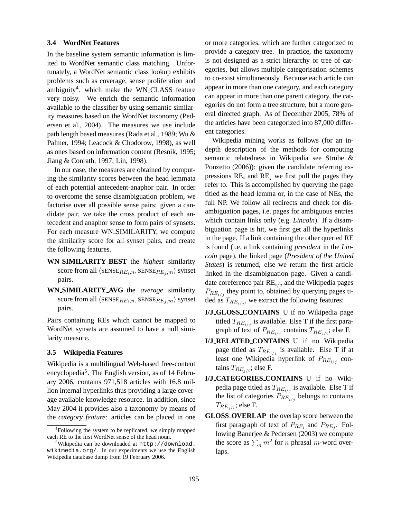#### **3.4 WordNet Features**

In the baseline system semantic information is limited to WordNet semantic class matching. Unfortunately, a WordNet semantic class lookup exhibits problems such as coverage, sense proliferation and ambiguity<sup>4</sup>, which make the WN\_CLASS feature very noisy. We enrich the semantic information available to the classifier by using semantic similarity measures based on the WordNet taxonomy (Pedersen et al., 2004). The measures we use include path length based measures (Rada et al., 1989; Wu & Palmer, 1994; Leacock & Chodorow, 1998), as well as ones based on information content (Resnik, 1995; Jiang & Conrath, 1997; Lin, 1998).

In our case, the measures are obtained by computing the similarity scores between the head lemmata of each potential antecedent-anaphor pair. In order to overcome the sense disambiguation problem, we factorise over all possible sense pairs: given a candidate pair, we take the cross product of each antecedent and anaphor sense to form pairs of synsets. For each measure WN SIMILARITY, we compute the similarity score for all synset pairs, and create the following features.

- **WN SIMILARITY BEST** the *highest* similarity score from all  $\langle$  SENSE $_{RE_i,n}$ , SENSE $_{RE_i,m}$  synset pairs.
- **WN SIMILARITY AVG** the *average* similarity score from all  $\langle$  SENSE $_{RE_i,n}$ , SENSE $_{RE_i,m}$  synset pairs.

Pairs containing REs which cannot be mapped to WordNet synsets are assumed to have a null similarity measure.

### **3.5 Wikipedia Features**

Wikipedia is a multilingual Web-based free-content encyclopedia<sup>5</sup>. The English version, as of 14 February 2006, contains 971,518 articles with 16.8 million internal hyperlinks thus providing a large coverage available knowledge resource. In addition, since May 2004 it provides also a taxonomy by means of the *category feature*: articles can be placed in one

or more categories, which are further categorized to provide a category tree. In practice, the taxonomy is not designed as a strict hierarchy or tree of categories, but allows multiple categorisation schemes to co-exist simultaneously. Because each article can appear in more than one category, and each category can appear in more than one parent category, the categories do not form a tree structure, but a more general directed graph. As of December 2005, 78% of the articles have been categorized into 87,000 different categories.

Wikipedia mining works as follows (for an indepth description of the methods for computing semantic relatedness in Wikipedia see Strube & Ponzetto (2006)): given the candidate referring expressions  $RE_i$  and  $RE_j$  we first pull the pages they refer to. This is accomplished by querying the page titled as the head lemma or, in the case of NEs, the full NP. We follow all redirects and check for disambiguation pages, i.e. pages for ambiguous entries which contain links only (e.g. *Lincoln*). If a disambiguation page is hit, we first get all the hyperlinks in the page. If a link containing the other queried RE is found (i.e. a link containing *president* in the *Lincoln* page), the linked page (*President of the United States*) is returned, else we return the first article linked in the disambiguation page. Given a candidate coreference pair  $RE_{i/2}$  and the Wikipedia pages  $P_{RE_{i/j}}$  they point to, obtained by querying pages titled as  $T_{RE_{i/j}}$ , we extract the following features:

- **I/J GLOSS CONTAINS** U if no Wikipedia page titled  $T_{RE_{i/j}}$  is available. Else T if the first paragraph of text of  $P_{RE_{i/j}}$  contains  $T_{RE_{j/i}}$ ; else F.
- **I/J RELATED CONTAINS** U if no Wikipedia page titled as  $T_{RE_{i/j}}$  is available. Else T if at least one Wikipedia hyperlink of  $P_{RE_{i/j}}$  contains  $T_{RE_{i/i}}$ ; else F.
- **I/J CATEGORIES CONTAINS** U if no Wikipedia page titled as  $T_{RE_{i/2}}$  is available. Else T if the list of categories  $P_{RE_{i/j}}$  belongs to contains  $T_{RE_{j/i}}$ ; else F.
- **GLOSS OVERLAP** the overlap score between the first paragraph of text of  $P_{RE_i}$  and  $P_{RE_j}$ . Following Banerjee & Pedersen (2003) we compute the score as  $\sum_n m^2$  for *n* phrasal *m*-word overlaps.

<sup>&</sup>lt;sup>4</sup>Following the system to be replicated, we simply mapped each RE to the first WordNet sense of the head noun.

<sup>5</sup>Wikipedia can be downloaded at http://download. wikimedia.org/. In our experiments we use the English Wikipedia database dump from 19 February 2006.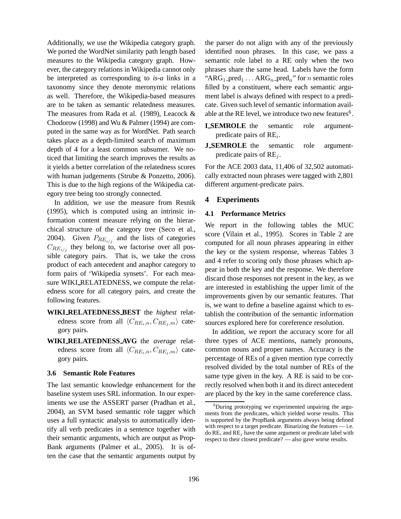Additionally, we use the Wikipedia category graph. We ported the WordNet similarity path length based measures to the Wikipedia category graph. However, the category relations in Wikipedia cannot only be interpreted as corresponding to *is-a* links in a taxonomy since they denote meronymic relations as well. Therefore, the Wikipedia-based measures are to be taken as semantic relatedness measures. The measures from Rada et al. (1989), Leacock & Chodorow (1998) and Wu & Palmer (1994) are computed in the same way as for WordNet. Path search takes place as a depth-limited search of maximum depth of 4 for a least common subsumer. We noticed that limiting the search improves the results as it yields a better correlation of the relatedness scores with human judgements (Strube & Ponzetto, 2006). This is due to the high regions of the Wikipedia category tree being too strongly connected.

In addition, we use the measure from Resnik (1995), which is computed using an intrinsic information content measure relying on the hierarchical structure of the category tree (Seco et al., 2004). Given  $P_{RE_{i/j}}$  and the lists of categories  $C_{RE_{i,j}}$  they belong to, we factorise over all possible category pairs. That is, we take the cross product of each antecedent and anaphor category to form pairs of 'Wikipedia synsets'. For each measure WIKI RELATEDNESS, we compute the relatedness score for all category pairs, and create the following features.

- **WIKI RELATEDNESS BEST** the *highest* relatedness score from all  $\langle C_{RE_i,n}, C_{RE_i,m} \rangle$  category pairs.
- **WIKI RELATEDNESS AVG** the *average* relatedness score from all  $\langle C_{RE_i,n}, C_{RE_i,m} \rangle$  category pairs.

### **3.6 Semantic Role Features**

The last semantic knowledge enhancement for the baseline system uses SRL information. In our experiments we use the ASSERT parser (Pradhan et al., 2004), an SVM based semantic role tagger which uses a full syntactic analysis to automatically identify all verb predicates in a sentence together with their semantic arguments, which are output as Prop-Bank arguments (Palmer et al., 2005). It is often the case that the semantic arguments output by the parser do not align with any of the previously identified noun phrases. In this case, we pass a semantic role label to a RE only when the two phrases share the same head. Labels have the form "ARG<sub>1</sub>-pred<sub>1</sub> ... ARG<sub>n</sub>-pred<sub>n</sub>" for *n* semantic roles filled by a constituent, where each semantic argument label is always defined with respect to a predicate. Given such level of semantic information available at the RE level, we introduce two new features<sup>6</sup>.

- **I SEMROLE** the semantic role argumentpredicate pairs of  $RE_i$ .
- **J SEMROLE** the semantic role argumentpredicate pairs of  $RE_i$ .

For the ACE 2003 data, 11,406 of 32,502 automatically extracted noun phrases were tagged with 2,801 different argument-predicate pairs.

# **4 Experiments**

## **4.1 Performance Metrics**

We report in the following tables the MUC score (Vilain et al., 1995). Scores in Table 2 are computed for all noun phrases appearing in either the key or the system response, whereas Tables 3 and 4 refer to scoring only those phrases which appear in both the key and the response. We therefore discard those responses not present in the key, as we are interested in establishing the upper limit of the improvements given by our semantic features. That is, we want to define a baseline against which to establish the contribution of the semantic information sources explored here for coreference resolution.

In addition, we report the accuracy score for all three types of ACE mentions, namely pronouns, common nouns and proper names. Accuracy is the percentage of REs of a given mention type correctly resolved divided by the total number of REs of the same type given in the key. A RE is said to be correctly resolved when both it and its direct antecedent are placed by the key in the same coreference class.

<sup>&</sup>lt;sup>6</sup>During prototyping we experimented unpairing the arguments from the predicates, which yielded worse results. This is supported by the PropBank arguments always being defined with respect to a target predicate. Binarizing the features — i.e. do  $RE_i$  and  $RE_j$  have the same argument or predicate label with respect to their closest predicate? — also gave worse results.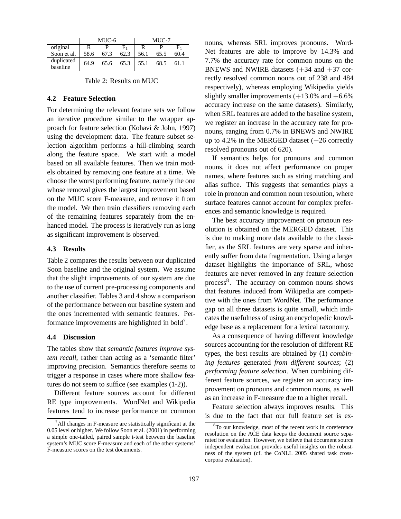|                        |      | MUC-6 |           | MUC-7 |      |      |  |
|------------------------|------|-------|-----------|-------|------|------|--|
| original               |      |       |           | R     |      |      |  |
| Soon et al.            | 58.6 | 67.3  | 62.3      | 56.1  | 65.5 | 60.4 |  |
| duplicated<br>baseline | 64.9 | 65.6  | 65.3 55.1 |       | 68.5 | 61.1 |  |

Table 2: Results on MUC

# **4.2 Feature Selection**

For determining the relevant feature sets we follow an iterative procedure similar to the wrapper approach for feature selection (Kohavi & John, 1997) using the development data. The feature subset selection algorithm performs a hill-climbing search along the feature space. We start with a model based on all available features. Then we train models obtained by removing one feature at a time. We choose the worst performing feature, namely the one whose removal gives the largest improvement based on the MUC score F-measure, and remove it from the model. We then train classifiers removing each of the remaining features separately from the enhanced model. The process is iteratively run as long as significant improvement is observed.

#### **4.3 Results**

Table 2 compares the results between our duplicated Soon baseline and the original system. We assume that the slight improvements of our system are due to the use of current pre-processing components and another classifier. Tables 3 and 4 show a comparison of the performance between our baseline system and the ones incremented with semantic features. Performance improvements are highlighted in bold<sup>7</sup>.

#### **4.4 Discussion**

The tables show that *semantic features improve system recall*, rather than acting as a 'semantic filter' improving precision. Semantics therefore seems to trigger a response in cases where more shallow features do not seem to suffice (see examples (1-2)).

Different feature sources account for different RE type improvements. WordNet and Wikipedia features tend to increase performance on common nouns, whereas SRL improves pronouns. Word-Net features are able to improve by 14.3% and 7.7% the accuracy rate for common nouns on the BNEWS and NWIRE datasets  $(+34 \text{ and } +37 \text{ cor-}$ rectly resolved common nouns out of 238 and 484 respectively), whereas employing Wikipedia yields slightly smaller improvements  $(+13.0\%$  and  $+6.6\%$ accuracy increase on the same datasets). Similarly, when SRL features are added to the baseline system, we register an increase in the accuracy rate for pronouns, ranging from 0.7% in BNEWS and NWIRE up to 4.2% in the MERGED dataset  $(+26$  correctly resolved pronouns out of 620).

If semantics helps for pronouns and common nouns, it does not affect performance on proper names, where features such as string matching and alias suffice. This suggests that semantics plays a role in pronoun and common noun resolution, where surface features cannot account for complex preferences and semantic knowledge is required.

The best accuracy improvement on pronoun resolution is obtained on the MERGED dataset. This is due to making more data available to the classifier, as the SRL features are very sparse and inherently suffer from data fragmentation. Using a larger dataset highlights the importance of SRL, whose features are never removed in any feature selection process<sup>8</sup>. The accuracy on common nouns shows that features induced from Wikipedia are competitive with the ones from WordNet. The performance gap on all three datasets is quite small, which indicates the usefulness of using an encyclopedic knowledge base as a replacement for a lexical taxonomy.

As a consequence of having different knowledge sources accounting for the resolution of different RE types, the best results are obtained by (1) *combining features* generated *from different sources*; (2) *performing feature selection*. When combining different feature sources, we register an accuracy improvement on pronouns and common nouns, as well as an increase in F-measure due to a higher recall.

Feature selection always improves results. This is due to the fact that our full feature set is ex-

 $<sup>7</sup>$ All changes in F-measure are statistically significant at the</sup> 0.05 level or higher. We follow Soon et al. (2001) in performing a simple one-tailed, paired sample t-test between the baseline system's MUC score F-measure and each of the other systems' F-measure scores on the test documents.

<sup>&</sup>lt;sup>8</sup>To our knowledge, most of the recent work in coreference resolution on the ACE data keeps the document source separated for evaluation. However, we believe that document source independent evaluation provides useful insights on the robustness of the system (cf. the CoNLL 2005 shared task crosscorpora evaluation).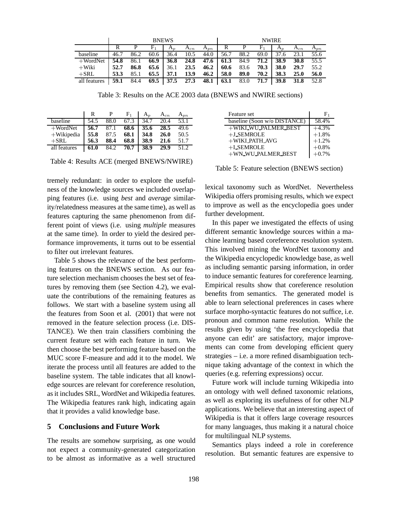|              | <b>BNEWS</b> |      |                |       |          |          | <b>NWIRE</b> |      |             |             |             |          |
|--------------|--------------|------|----------------|-------|----------|----------|--------------|------|-------------|-------------|-------------|----------|
|              |              | р    | F <sub>1</sub> | $A_n$ | $A_{cn}$ | $A_{pn}$ | R            |      | ${\rm F}_1$ | $A_n$       | $A_{cn}$    | $A_{nn}$ |
| baseline     | 46.7         | 86.2 | 60.6           | 36.4  | 10.5     | 44.0     | 56.7         | 88.2 | 69.0        | 37.6        | 23.1        | 55.6     |
| $+$ WordNet  | 54.8         | 86.1 | 66.9           | 36.8  | 24.8     | 47.6     | 61.3         | 84.9 | 71.2        | 38.9        | 30.8        | 55.5     |
| $+Wiki$      | 52.7         | 86.8 | 65.6           | 36.1  | 23.5     | 46.2     | 60.6         | 83.6 | <b>70.3</b> | <b>38.0</b> | 29.7        | 55.2     |
| $+$ SRL      | 53.3         | 85.1 | 65.5           | 37.1  | 13.9     | 46.2     | 58.0         | 89.0 | 70.2        | 38.3        | <b>25.0</b> | 56.0     |
| all features | 59.1         | 84.4 | 69.5           | 37.5  | 27.3     | 48.1     | 63.1         | 83.0 | 71.7        | <b>39.8</b> | 31.8        | 52.8     |

Table 3: Results on the ACE 2003 data (BNEWS and NWIRE sections)

|                        |      |           | $F_1$ | $A_n$       | $A_{cn}$    | $A_{pn}$ |
|------------------------|------|-----------|-------|-------------|-------------|----------|
| baseline               | 54.5 | 88.0      | 67.3  | 34.7        | 20.4        | 53.1     |
| $+WordNet$   56.7 87.1 |      |           |       | 68.6 35.6   | 28.5        | 49.6     |
| $+$ Wikipedia          |      | 55.8 87.5 | 68.1  | 34.8        | <b>26.0</b> | 50.5     |
| $+$ SRL                | 56.3 | 88.4      | 68.8  | 38.9        | 21.6        | 51.7     |
| all features           | 61.0 | 84.2      |       | $70.7$ 38.9 | 29.9        | 51.2     |

Table 4: Results ACE (merged BNEWS/NWIRE)

tremely redundant: in order to explore the usefulness of the knowledge sources we included overlapping features (i.e. using *best* and *average* similarity/relatedness measures at the same time), as well as features capturing the same phenomenon from different point of views (i.e. using *multiple* measures at the same time). In order to yield the desired performance improvements, it turns out to be essential to filter out irrelevant features.

Table 5 shows the relevance of the best performing features on the BNEWS section. As our feature selection mechanism chooses the best set of features by removing them (see Section 4.2), we evaluate the contributions of the remaining features as follows. We start with a baseline system using all the features from Soon et al. (2001) that were not removed in the feature selection process (i.e. DIS-TANCE). We then train classifiers combining the current feature set with each feature in turn. We then choose the best performing feature based on the MUC score F-measure and add it to the model. We iterate the process until all features are added to the baseline system. The table indicates that all knowledge sources are relevant for coreference resolution, as it includes SRL, WordNet and Wikipedia features. The Wikipedia features rank high, indicating again that it provides a valid knowledge base.

## **5 Conclusions and Future Work**

The results are somehow surprising, as one would not expect a community-generated categorization to be almost as informative as a well structured

| Feature set                  | F٦       |
|------------------------------|----------|
| baseline (Soon w/o DISTANCE) | 58.4%    |
| +WIKI_WU_PALMER_BEST         | $+4.3%$  |
| $+J$ _SEMROLE                | $+1.8%$  |
| +WIKI_PATH_AVG               | $+1.2%$  |
| $+I$ SEMROLE                 | $+0.8%$  |
| $+$ WN_WU_PALMER_BEST        | $+0.7\%$ |

Table 5: Feature selection (BNEWS section)

lexical taxonomy such as WordNet. Nevertheless Wikipedia offers promising results, which we expect to improve as well as the encyclopedia goes under further development.

In this paper we investigated the effects of using different semantic knowledge sources within a machine learning based coreference resolution system. This involved mining the WordNet taxonomy and the Wikipedia encyclopedic knowledge base, as well as including semantic parsing information, in order to induce semantic features for coreference learning. Empirical results show that coreference resolution benefits from semantics. The generated model is able to learn selectional preferences in cases where surface morpho-syntactic features do not suffice, i.e. pronoun and common name resolution. While the results given by using 'the free encyclopedia that anyone can edit' are satisfactory, major improvements can come from developing efficient query strategies – i.e. a more refined disambiguation technique taking advantage of the context in which the queries (e.g. referring expressions) occur.

Future work will include turning Wikipedia into an ontology with well defined taxonomic relations, as well as exploring its usefulness of for other NLP applications. We believe that an interesting aspect of Wikipedia is that it offers large coverage resources for many languages, thus making it a natural choice for multilingual NLP systems.

Semantics plays indeed a role in coreference resolution. But semantic features are expensive to